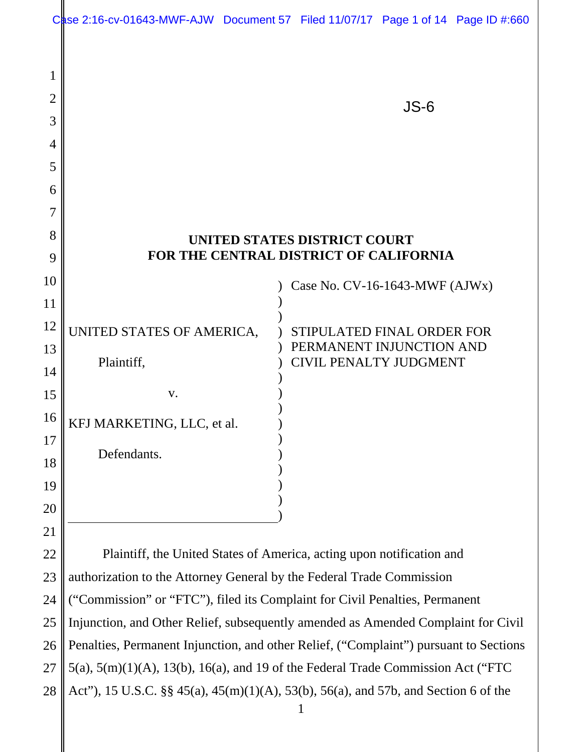|          | Case 2:16-cv-01643-MWF-AJW Document 57 Filed 11/07/17 Page 1 of 14 Page ID #:660                                                                                           |                                                                             |                                                           |        |  |  |
|----------|----------------------------------------------------------------------------------------------------------------------------------------------------------------------------|-----------------------------------------------------------------------------|-----------------------------------------------------------|--------|--|--|
|          |                                                                                                                                                                            |                                                                             |                                                           |        |  |  |
|          |                                                                                                                                                                            |                                                                             |                                                           |        |  |  |
| 2        |                                                                                                                                                                            |                                                                             |                                                           |        |  |  |
| 3        |                                                                                                                                                                            |                                                                             |                                                           | $JS-6$ |  |  |
| 4        |                                                                                                                                                                            |                                                                             |                                                           |        |  |  |
| 5        |                                                                                                                                                                            |                                                                             |                                                           |        |  |  |
| 6        |                                                                                                                                                                            |                                                                             |                                                           |        |  |  |
|          |                                                                                                                                                                            |                                                                             |                                                           |        |  |  |
| 8        |                                                                                                                                                                            |                                                                             | <b>UNITED STATES DISTRICT COURT</b>                       |        |  |  |
| 9        | FOR THE CENTRAL DISTRICT OF CALIFORNIA                                                                                                                                     |                                                                             |                                                           |        |  |  |
| 10       |                                                                                                                                                                            |                                                                             | Case No. $CV-16-1643-MWF$ (AJWx)                          |        |  |  |
| 11       |                                                                                                                                                                            |                                                                             |                                                           |        |  |  |
| 12       | UNITED STATES OF AMERICA,                                                                                                                                                  |                                                                             | STIPULATED FINAL ORDER FOR                                |        |  |  |
| 13       | Plaintiff,                                                                                                                                                                 |                                                                             | PERMANENT INJUNCTION AND<br><b>CIVIL PENALTY JUDGMENT</b> |        |  |  |
| 14       |                                                                                                                                                                            |                                                                             |                                                           |        |  |  |
| 15       | V.                                                                                                                                                                         |                                                                             |                                                           |        |  |  |
| 16       | KFJ MARKETING, LLC, et al.                                                                                                                                                 |                                                                             |                                                           |        |  |  |
| 17       | Defendants.                                                                                                                                                                |                                                                             |                                                           |        |  |  |
| 18       |                                                                                                                                                                            |                                                                             |                                                           |        |  |  |
| 19       |                                                                                                                                                                            |                                                                             |                                                           |        |  |  |
| 20       |                                                                                                                                                                            |                                                                             |                                                           |        |  |  |
| 21       |                                                                                                                                                                            |                                                                             |                                                           |        |  |  |
| 22<br>23 | Plaintiff, the United States of America, acting upon notification and                                                                                                      |                                                                             |                                                           |        |  |  |
| 24       | authorization to the Attorney General by the Federal Trade Commission                                                                                                      |                                                                             |                                                           |        |  |  |
| 25       |                                                                                                                                                                            | ("Commission" or "FTC"), filed its Complaint for Civil Penalties, Permanent |                                                           |        |  |  |
| 26       | Injunction, and Other Relief, subsequently amended as Amended Complaint for Civil<br>Penalties, Permanent Injunction, and other Relief, ("Complaint") pursuant to Sections |                                                                             |                                                           |        |  |  |
| 27       | $5(a)$ , $5(m)(1)(A)$ , $13(b)$ , $16(a)$ , and 19 of the Federal Trade Commission Act ("FTC                                                                               |                                                                             |                                                           |        |  |  |
| 28       | Act"), 15 U.S.C. §§ 45(a), 45(m)(1)(A), 53(b), 56(a), and 57b, and Section 6 of the                                                                                        |                                                                             |                                                           |        |  |  |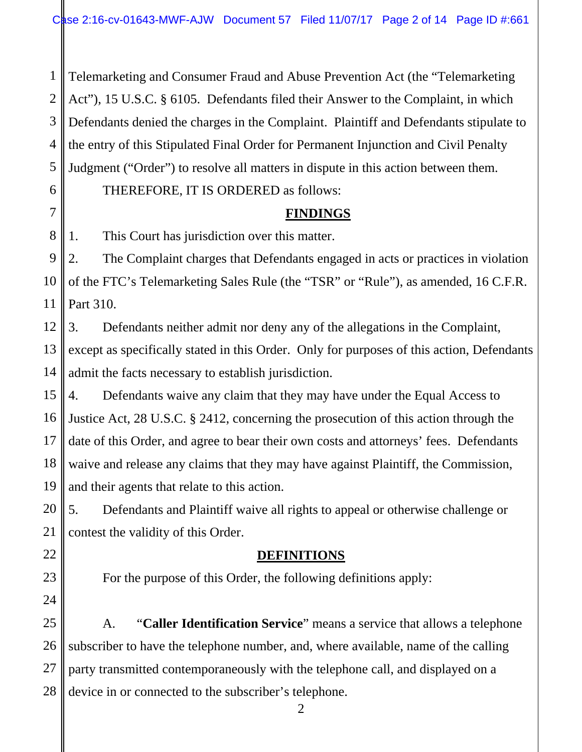1 2 3 4 5 Telemarketing and Consumer Fraud and Abuse Prevention Act (the "Telemarketing Act"), 15 U.S.C. § 6105. Defendants filed their Answer to the Complaint, in which Defendants denied the charges in the Complaint. Plaintiff and Defendants stipulate to the entry of this Stipulated Final Order for Permanent Injunction and Civil Penalty Judgment ("Order") to resolve all matters in dispute in this action between them.

#### THEREFORE, IT IS ORDERED as follows:

# **FINDINGS**

8 1. This Court has jurisdiction over this matter.

6

7

22

23

24

27

9 10 11 2. The Complaint charges that Defendants engaged in acts or practices in violation of the FTC's Telemarketing Sales Rule (the "TSR" or "Rule"), as amended, 16 C.F.R. Part 310.

12 13 14 3. Defendants neither admit nor deny any of the allegations in the Complaint, except as specifically stated in this Order. Only for purposes of this action, Defendants admit the facts necessary to establish jurisdiction.

15 16 17 18 19 4. Defendants waive any claim that they may have under the Equal Access to Justice Act, 28 U.S.C. § 2412, concerning the prosecution of this action through the date of this Order, and agree to bear their own costs and attorneys' fees. Defendants waive and release any claims that they may have against Plaintiff, the Commission, and their agents that relate to this action.

20 21 5. Defendants and Plaintiff waive all rights to appeal or otherwise challenge or contest the validity of this Order.

## **DEFINITIONS**

For the purpose of this Order, the following definitions apply:

25 26 28 A. "**Caller Identification Service**" means a service that allows a telephone subscriber to have the telephone number, and, where available, name of the calling party transmitted contemporaneously with the telephone call, and displayed on a device in or connected to the subscriber's telephone.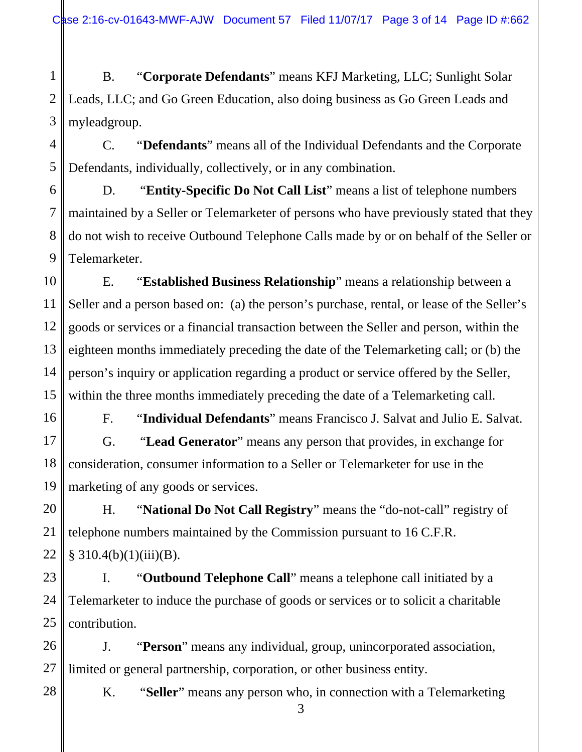1 2 3 B. "**Corporate Defendants**" means KFJ Marketing, LLC; Sunlight Solar Leads, LLC; and Go Green Education, also doing business as Go Green Leads and myleadgroup.

4 5 C. "**Defendants**" means all of the Individual Defendants and the Corporate Defendants, individually, collectively, or in any combination.

6 7 8 9 D. "**Entity-Specific Do Not Call List**" means a list of telephone numbers maintained by a Seller or Telemarketer of persons who have previously stated that they do not wish to receive Outbound Telephone Calls made by or on behalf of the Seller or Telemarketer.

10 11 12 13 14 15 E. "**Established Business Relationship**" means a relationship between a Seller and a person based on: (a) the person's purchase, rental, or lease of the Seller's goods or services or a financial transaction between the Seller and person, within the eighteen months immediately preceding the date of the Telemarketing call; or (b) the person's inquiry or application regarding a product or service offered by the Seller, within the three months immediately preceding the date of a Telemarketing call.

F. "**Individual Defendants**" means Francisco J. Salvat and Julio E. Salvat. G. "**Lead Generator**" means any person that provides, in exchange for consideration, consumer information to a Seller or Telemarketer for use in the marketing of any goods or services.

16

17

18

19

20

21

22

28

H. "**National Do Not Call Registry**" means the "do-not-call" registry of telephone numbers maintained by the Commission pursuant to 16 C.F.R.  $§ 310.4(b)(1)(iii)(B).$ 

23 24 25 I. "**Outbound Telephone Call**" means a telephone call initiated by a Telemarketer to induce the purchase of goods or services or to solicit a charitable contribution.

26 27 J. "**Person**" means any individual, group, unincorporated association, limited or general partnership, corporation, or other business entity.

K. "**Seller**" means any person who, in connection with a Telemarketing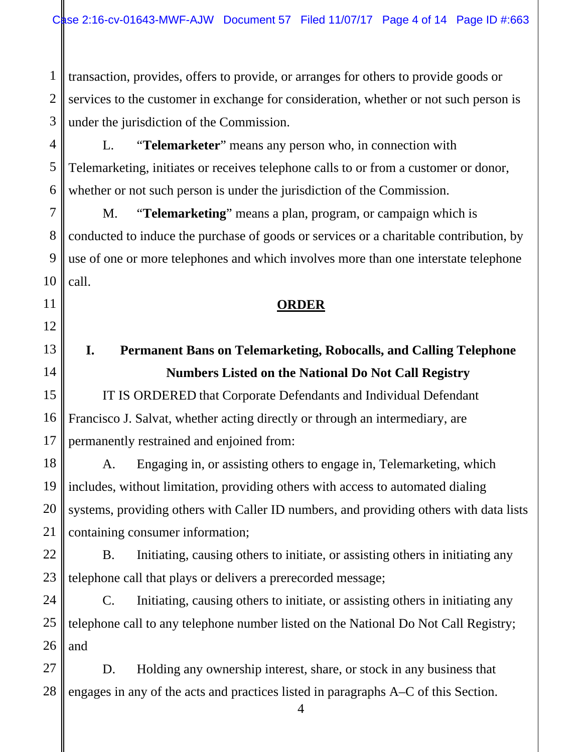1 2 3 transaction, provides, offers to provide, or arranges for others to provide goods or services to the customer in exchange for consideration, whether or not such person is under the jurisdiction of the Commission.

4 5 6 L. "**Telemarketer**" means any person who, in connection with Telemarketing, initiates or receives telephone calls to or from a customer or donor, whether or not such person is under the jurisdiction of the Commission.

M. "**Telemarketing**" means a plan, program, or campaign which is conducted to induce the purchase of goods or services or a charitable contribution, by use of one or more telephones and which involves more than one interstate telephone call.

#### **ORDER**

# **I. Permanent Bans on Telemarketing, Robocalls, and Calling Telephone Numbers Listed on the National Do Not Call Registry**

IT IS ORDERED that Corporate Defendants and Individual Defendant Francisco J. Salvat, whether acting directly or through an intermediary, are permanently restrained and enjoined from:

A. Engaging in, or assisting others to engage in, Telemarketing, which includes, without limitation, providing others with access to automated dialing systems, providing others with Caller ID numbers, and providing others with data lists containing consumer information;

B. Initiating, causing others to initiate, or assisting others in initiating any telephone call that plays or delivers a prerecorded message;

C. Initiating, causing others to initiate, or assisting others in initiating any telephone call to any telephone number listed on the National Do Not Call Registry; and

4

28 D. Holding any ownership interest, share, or stock in any business that engages in any of the acts and practices listed in paragraphs A–C of this Section.

7

8

9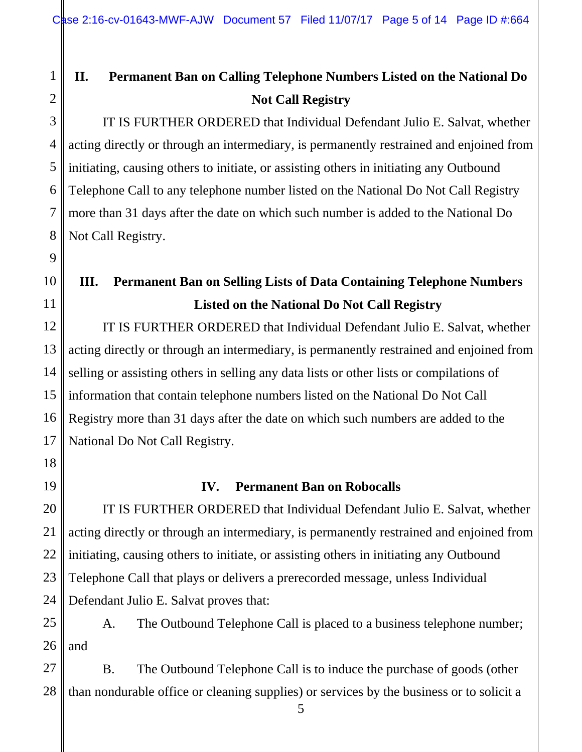# **II. Permanent Ban on Calling Telephone Numbers Listed on the National Do Not Call Registry**

IT IS FURTHER ORDERED that Individual Defendant Julio E. Salvat, whether acting directly or through an intermediary, is permanently restrained and enjoined from initiating, causing others to initiate, or assisting others in initiating any Outbound Telephone Call to any telephone number listed on the National Do Not Call Registry more than 31 days after the date on which such number is added to the National Do Not Call Registry.

# **III. Permanent Ban on Selling Lists of Data Containing Telephone Numbers Listed on the National Do Not Call Registry**

IT IS FURTHER ORDERED that Individual Defendant Julio E. Salvat, whether acting directly or through an intermediary, is permanently restrained and enjoined from selling or assisting others in selling any data lists or other lists or compilations of information that contain telephone numbers listed on the National Do Not Call Registry more than 31 days after the date on which such numbers are added to the National Do Not Call Registry.

## **IV. Permanent Ban on Robocalls**

IT IS FURTHER ORDERED that Individual Defendant Julio E. Salvat, whether acting directly or through an intermediary, is permanently restrained and enjoined from initiating, causing others to initiate, or assisting others in initiating any Outbound Telephone Call that plays or delivers a prerecorded message, unless Individual Defendant Julio E. Salvat proves that:

A. The Outbound Telephone Call is placed to a business telephone number; and

B. The Outbound Telephone Call is to induce the purchase of goods (other than nondurable office or cleaning supplies) or services by the business or to solicit a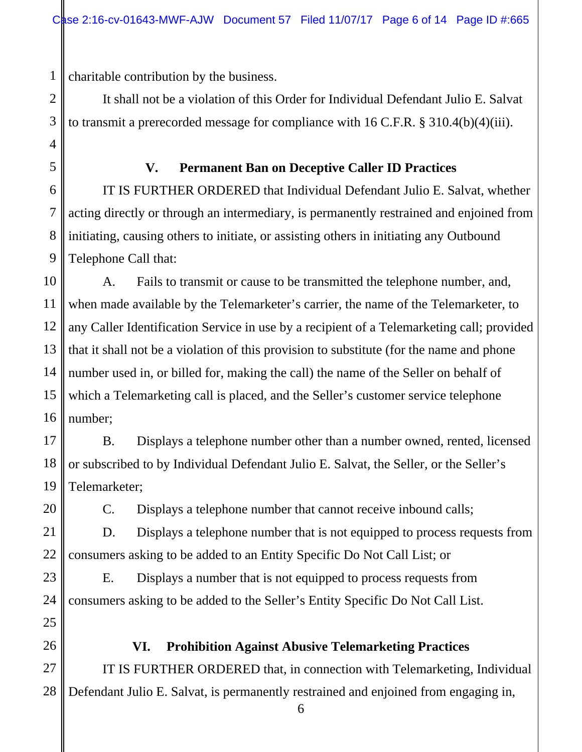1 charitable contribution by the business.

2

3

4

5

6

7

8

9

20

21

22

23

24

25

26

27

It shall not be a violation of this Order for Individual Defendant Julio E. Salvat to transmit a prerecorded message for compliance with 16 C.F.R. § 310.4(b)(4)(iii).

#### **V. Permanent Ban on Deceptive Caller ID Practices**

IT IS FURTHER ORDERED that Individual Defendant Julio E. Salvat, whether acting directly or through an intermediary, is permanently restrained and enjoined from initiating, causing others to initiate, or assisting others in initiating any Outbound Telephone Call that:

10 11 12 13 14 15 16 A. Fails to transmit or cause to be transmitted the telephone number, and, when made available by the Telemarketer's carrier, the name of the Telemarketer, to any Caller Identification Service in use by a recipient of a Telemarketing call; provided that it shall not be a violation of this provision to substitute (for the name and phone number used in, or billed for, making the call) the name of the Seller on behalf of which a Telemarketing call is placed, and the Seller's customer service telephone number;

17 18 19 B. Displays a telephone number other than a number owned, rented, licensed or subscribed to by Individual Defendant Julio E. Salvat, the Seller, or the Seller's Telemarketer;

C. Displays a telephone number that cannot receive inbound calls;

D. Displays a telephone number that is not equipped to process requests from consumers asking to be added to an Entity Specific Do Not Call List; or

E. Displays a number that is not equipped to process requests from consumers asking to be added to the Seller's Entity Specific Do Not Call List.

# **VI. Prohibition Against Abusive Telemarketing Practices**  IT IS FURTHER ORDERED that, in connection with Telemarketing, Individual

28 Defendant Julio E. Salvat, is permanently restrained and enjoined from engaging in,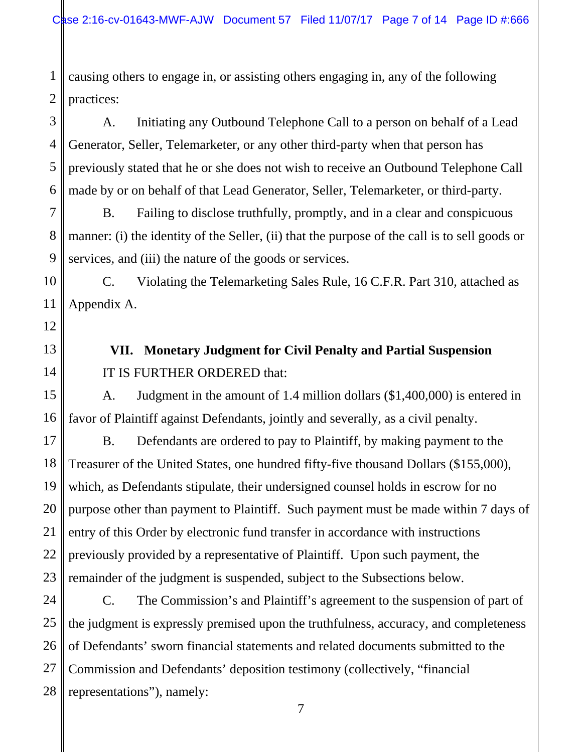1 2 causing others to engage in, or assisting others engaging in, any of the following practices:

3 4 5 6 A. Initiating any Outbound Telephone Call to a person on behalf of a Lead Generator, Seller, Telemarketer, or any other third-party when that person has previously stated that he or she does not wish to receive an Outbound Telephone Call made by or on behalf of that Lead Generator, Seller, Telemarketer, or third-party.

B. Failing to disclose truthfully, promptly, and in a clear and conspicuous manner: (i) the identity of the Seller, (ii) that the purpose of the call is to sell goods or services, and (iii) the nature of the goods or services.

C. Violating the Telemarketing Sales Rule, 16 C.F.R. Part 310, attached as Appendix A.

**VII. Monetary Judgment for Civil Penalty and Partial Suspension**  IT IS FURTHER ORDERED that:

A. Judgment in the amount of 1.4 million dollars (\$1,400,000) is entered in favor of Plaintiff against Defendants, jointly and severally, as a civil penalty.

B. Defendants are ordered to pay to Plaintiff, by making payment to the Treasurer of the United States, one hundred fifty-five thousand Dollars (\$155,000), which, as Defendants stipulate, their undersigned counsel holds in escrow for no purpose other than payment to Plaintiff. Such payment must be made within 7 days of entry of this Order by electronic fund transfer in accordance with instructions previously provided by a representative of Plaintiff. Upon such payment, the remainder of the judgment is suspended, subject to the Subsections below.

C. The Commission's and Plaintiff's agreement to the suspension of part of the judgment is expressly premised upon the truthfulness, accuracy, and completeness of Defendants' sworn financial statements and related documents submitted to the Commission and Defendants' deposition testimony (collectively, "financial representations"), namely: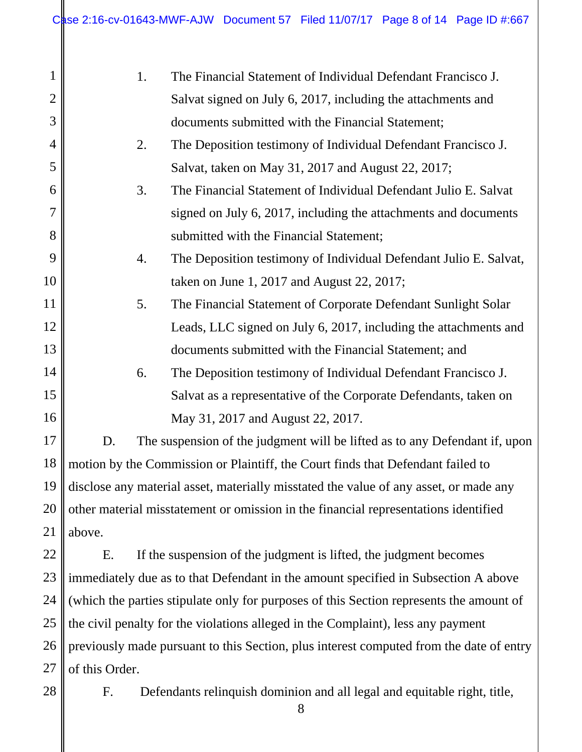| $\mathbf{1}$   | The Financial Statement of Individual Defendant Francisco J.<br>1.                      |                                                                            |  |  |  |
|----------------|-----------------------------------------------------------------------------------------|----------------------------------------------------------------------------|--|--|--|
| $\mathfrak{2}$ |                                                                                         | Salvat signed on July 6, 2017, including the attachments and               |  |  |  |
| 3              |                                                                                         | documents submitted with the Financial Statement;                          |  |  |  |
| $\overline{4}$ | 2.                                                                                      | The Deposition testimony of Individual Defendant Francisco J.              |  |  |  |
| 5              |                                                                                         | Salvat, taken on May 31, 2017 and August 22, 2017;                         |  |  |  |
| 6              | 3.                                                                                      | The Financial Statement of Individual Defendant Julio E. Salvat            |  |  |  |
| 7              |                                                                                         | signed on July 6, 2017, including the attachments and documents            |  |  |  |
| 8              |                                                                                         | submitted with the Financial Statement;                                    |  |  |  |
| 9              | 4.                                                                                      | The Deposition testimony of Individual Defendant Julio E. Salvat,          |  |  |  |
| 10             |                                                                                         | taken on June 1, 2017 and August 22, 2017;                                 |  |  |  |
| 11             | 5.                                                                                      | The Financial Statement of Corporate Defendant Sunlight Solar              |  |  |  |
| 12             |                                                                                         | Leads, LLC signed on July 6, 2017, including the attachments and           |  |  |  |
| 13             |                                                                                         | documents submitted with the Financial Statement; and                      |  |  |  |
| 14             | 6.                                                                                      | The Deposition testimony of Individual Defendant Francisco J.              |  |  |  |
| 15             |                                                                                         | Salvat as a representative of the Corporate Defendants, taken on           |  |  |  |
| 16             |                                                                                         | May 31, 2017 and August 22, 2017.                                          |  |  |  |
| 17             | D.                                                                                      | The suspension of the judgment will be lifted as to any Defendant if, upon |  |  |  |
| 18             | motion by the Commission or Plaintiff, the Court finds that Defendant failed to         |                                                                            |  |  |  |
| 19             | disclose any material asset, materially misstated the value of any asset, or made any   |                                                                            |  |  |  |
| 20             | other material misstatement or omission in the financial representations identified     |                                                                            |  |  |  |
| 21             | above.                                                                                  |                                                                            |  |  |  |
| 22             | Ε.                                                                                      | If the suspension of the judgment is lifted, the judgment becomes          |  |  |  |
| 23             | immediately due as to that Defendant in the amount specified in Subsection A above      |                                                                            |  |  |  |
| 24             | (which the parties stipulate only for purposes of this Section represents the amount of |                                                                            |  |  |  |
| 25             | the civil penalty for the violations alleged in the Complaint), less any payment        |                                                                            |  |  |  |
| 26             | previously made pursuant to this Section, plus interest computed from the date of entry |                                                                            |  |  |  |
| 27             | of this Order.                                                                          |                                                                            |  |  |  |

of this Order.

28

F. Defendants relinquish dominion and all legal and equitable right, title,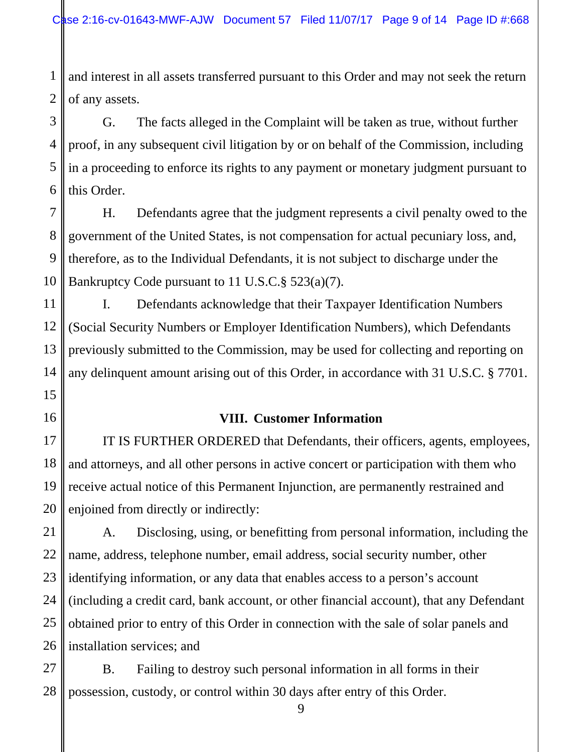1 2 and interest in all assets transferred pursuant to this Order and may not seek the return of any assets.

3 G. The facts alleged in the Complaint will be taken as true, without further proof, in any subsequent civil litigation by or on behalf of the Commission, including in a proceeding to enforce its rights to any payment or monetary judgment pursuant to this Order.

H. Defendants agree that the judgment represents a civil penalty owed to the government of the United States, is not compensation for actual pecuniary loss, and, therefore, as to the Individual Defendants, it is not subject to discharge under the Bankruptcy Code pursuant to 11 U.S.C.§ 523(a)(7).

I. Defendants acknowledge that their Taxpayer Identification Numbers (Social Security Numbers or Employer Identification Numbers), which Defendants previously submitted to the Commission, may be used for collecting and reporting on any delinquent amount arising out of this Order, in accordance with 31 U.S.C. § 7701.

#### **VIII. Customer Information**

IT IS FURTHER ORDERED that Defendants, their officers, agents, employees, and attorneys, and all other persons in active concert or participation with them who receive actual notice of this Permanent Injunction, are permanently restrained and enjoined from directly or indirectly:

A. Disclosing, using, or benefitting from personal information, including the name, address, telephone number, email address, social security number, other identifying information, or any data that enables access to a person's account (including a credit card, bank account, or other financial account), that any Defendant obtained prior to entry of this Order in connection with the sale of solar panels and installation services; and

B. Failing to destroy such personal information in all forms in their possession, custody, or control within 30 days after entry of this Order.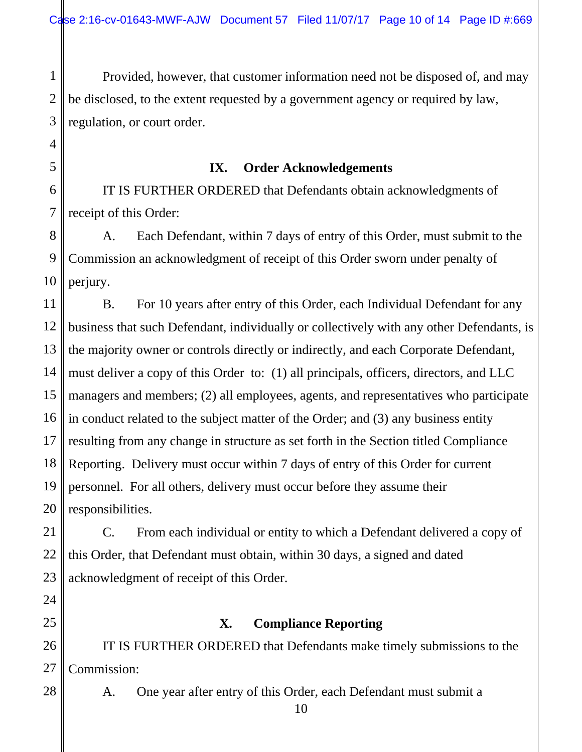1 2 3 Provided, however, that customer information need not be disposed of, and may be disclosed, to the extent requested by a government agency or required by law, regulation, or court order.

**IX. Order Acknowledgements** 

6 7 IT IS FURTHER ORDERED that Defendants obtain acknowledgments of receipt of this Order:

4

5

24

25

28

8 9 10 A. Each Defendant, within 7 days of entry of this Order, must submit to the Commission an acknowledgment of receipt of this Order sworn under penalty of perjury.

11 12 13 14 15 16 17 18 19 20 B. For 10 years after entry of this Order, each Individual Defendant for any business that such Defendant, individually or collectively with any other Defendants, is the majority owner or controls directly or indirectly, and each Corporate Defendant, must deliver a copy of this Order to: (1) all principals, officers, directors, and LLC managers and members; (2) all employees, agents, and representatives who participate in conduct related to the subject matter of the Order; and (3) any business entity resulting from any change in structure as set forth in the Section titled Compliance Reporting. Delivery must occur within 7 days of entry of this Order for current personnel. For all others, delivery must occur before they assume their responsibilities.

21 22 23 C. From each individual or entity to which a Defendant delivered a copy of this Order, that Defendant must obtain, within 30 days, a signed and dated acknowledgment of receipt of this Order.

## **X. Compliance Reporting**

26 27 IT IS FURTHER ORDERED that Defendants make timely submissions to the Commission:

A. One year after entry of this Order, each Defendant must submit a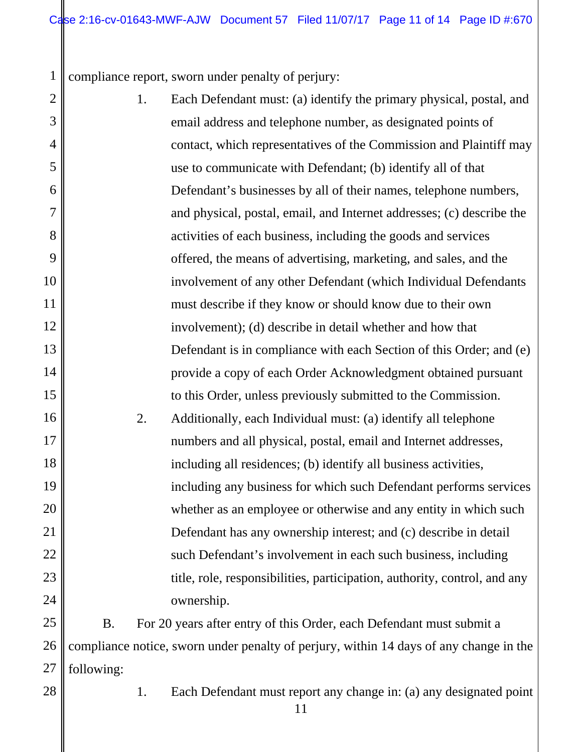1 compliance report, sworn under penalty of perjury:

2 3 4 5 6 7 8 9 10 11 12 13 14 15 16 17 18 19 20 21 22 23 24 25 1. Each Defendant must: (a) identify the primary physical, postal, and email address and telephone number, as designated points of contact, which representatives of the Commission and Plaintiff may use to communicate with Defendant; (b) identify all of that Defendant's businesses by all of their names, telephone numbers, and physical, postal, email, and Internet addresses; (c) describe the activities of each business, including the goods and services offered, the means of advertising, marketing, and sales, and the involvement of any other Defendant (which Individual Defendants must describe if they know or should know due to their own involvement); (d) describe in detail whether and how that Defendant is in compliance with each Section of this Order; and (e) provide a copy of each Order Acknowledgment obtained pursuant to this Order, unless previously submitted to the Commission. 2. Additionally, each Individual must: (a) identify all telephone numbers and all physical, postal, email and Internet addresses, including all residences; (b) identify all business activities, including any business for which such Defendant performs services whether as an employee or otherwise and any entity in which such Defendant has any ownership interest; and (c) describe in detail such Defendant's involvement in each such business, including title, role, responsibilities, participation, authority, control, and any ownership. B. For 20 years after entry of this Order, each Defendant must submit a

26 27 compliance notice, sworn under penalty of perjury, within 14 days of any change in the following:

28

1. Each Defendant must report any change in: (a) any designated point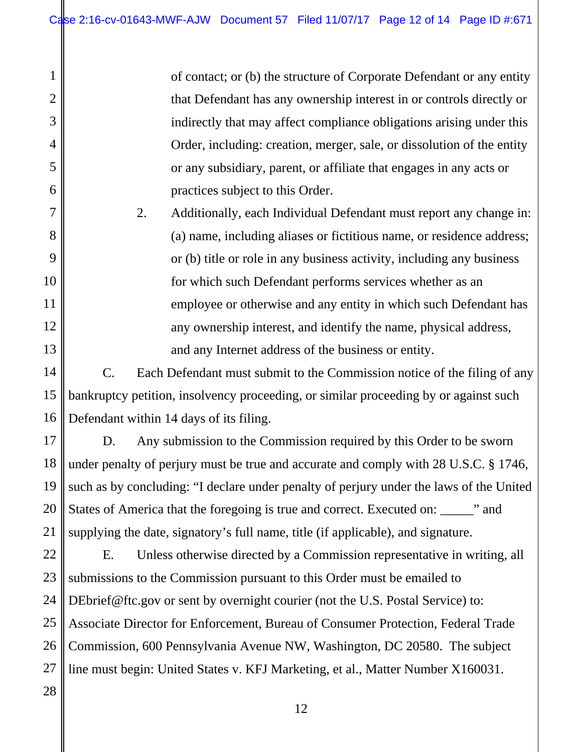1

2

3

4

5

6

7

8

9

10

11

12

13

14

15

16

17

18

19

20

21

28

of contact; or (b) the structure of Corporate Defendant or any entity that Defendant has any ownership interest in or controls directly or indirectly that may affect compliance obligations arising under this Order, including: creation, merger, sale, or dissolution of the entity or any subsidiary, parent, or affiliate that engages in any acts or practices subject to this Order.

2. Additionally, each Individual Defendant must report any change in: (a) name, including aliases or fictitious name, or residence address; or (b) title or role in any business activity, including any business for which such Defendant performs services whether as an employee or otherwise and any entity in which such Defendant has any ownership interest, and identify the name, physical address, and any Internet address of the business or entity.

C. Each Defendant must submit to the Commission notice of the filing of any bankruptcy petition, insolvency proceeding, or similar proceeding by or against such Defendant within 14 days of its filing.

D. Any submission to the Commission required by this Order to be sworn under penalty of perjury must be true and accurate and comply with 28 U.S.C. § 1746, such as by concluding: "I declare under penalty of perjury under the laws of the United States of America that the foregoing is true and correct. Executed on: \_\_\_\_\_" and supplying the date, signatory's full name, title (if applicable), and signature.

22 23 24 25 26 27 E. Unless otherwise directed by a Commission representative in writing, all submissions to the Commission pursuant to this Order must be emailed to DEbrief@ftc.gov or sent by overnight courier (not the U.S. Postal Service) to: Associate Director for Enforcement, Bureau of Consumer Protection, Federal Trade Commission, 600 Pennsylvania Avenue NW, Washington, DC 20580. The subject line must begin: United States v. KFJ Marketing, et al., Matter Number X160031.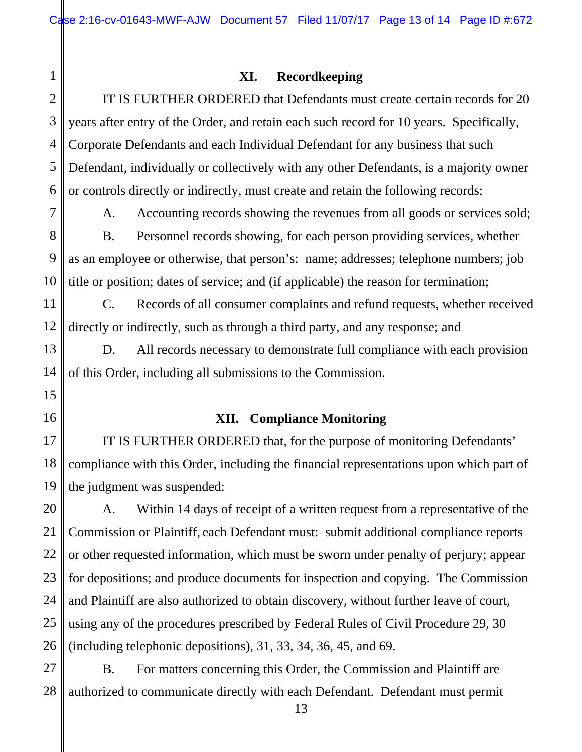#### **XI. Recordkeeping**

IT IS FURTHER ORDERED that Defendants must create certain records for 20 years after entry of the Order, and retain each such record for 10 years. Specifically, Corporate Defendants and each Individual Defendant for any business that such Defendant, individually or collectively with any other Defendants, is a majority owner or controls directly or indirectly, must create and retain the following records:

A. Accounting records showing the revenues from all goods or services sold; B. Personnel records showing, for each person providing services, whether as an employee or otherwise, that person's: name; addresses; telephone numbers; job title or position; dates of service; and (if applicable) the reason for termination;

C. Records of all consumer complaints and refund requests, whether received directly or indirectly, such as through a third party, and any response; and

D. All records necessary to demonstrate full compliance with each provision of this Order, including all submissions to the Commission.

#### **XII. Compliance Monitoring**

IT IS FURTHER ORDERED that, for the purpose of monitoring Defendants' compliance with this Order, including the financial representations upon which part of the judgment was suspended:

20 21 22 23 24 25 26 A. Within 14 days of receipt of a written request from a representative of the Commission or Plaintiff, each Defendant must: submit additional compliance reports or other requested information, which must be sworn under penalty of perjury; appear for depositions; and produce documents for inspection and copying. The Commission and Plaintiff are also authorized to obtain discovery, without further leave of court, using any of the procedures prescribed by Federal Rules of Civil Procedure 29, 30 (including telephonic depositions), 31, 33, 34, 36, 45, and 69.

27 28 B. For matters concerning this Order, the Commission and Plaintiff are authorized to communicate directly with each Defendant. Defendant must permit

1

2

3

4

5

6

7

8

9

10

11

12

13

14

15

16

17

18